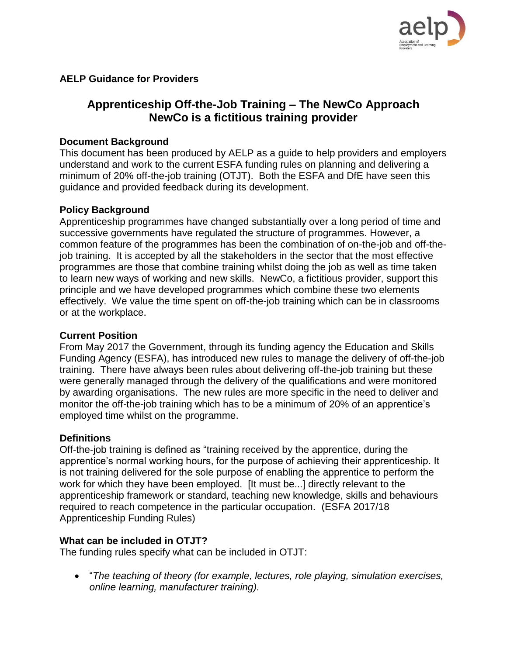

# **AELP Guidance for Providers**

# **Apprenticeship Off-the-Job Training – The NewCo Approach NewCo is a fictitious training provider**

#### **Document Background**

This document has been produced by AELP as a guide to help providers and employers understand and work to the current ESFA funding rules on planning and delivering a minimum of 20% off-the-job training (OTJT). Both the ESFA and DfE have seen this guidance and provided feedback during its development.

## **Policy Background**

Apprenticeship programmes have changed substantially over a long period of time and successive governments have regulated the structure of programmes. However, a common feature of the programmes has been the combination of on-the-job and off-thejob training. It is accepted by all the stakeholders in the sector that the most effective programmes are those that combine training whilst doing the job as well as time taken to learn new ways of working and new skills. NewCo, a fictitious provider, support this principle and we have developed programmes which combine these two elements effectively. We value the time spent on off-the-job training which can be in classrooms or at the workplace.

#### **Current Position**

From May 2017 the Government, through its funding agency the Education and Skills Funding Agency (ESFA), has introduced new rules to manage the delivery of off-the-job training. There have always been rules about delivering off-the-job training but these were generally managed through the delivery of the qualifications and were monitored by awarding organisations. The new rules are more specific in the need to deliver and monitor the off-the-job training which has to be a minimum of 20% of an apprentice's employed time whilst on the programme.

# **Definitions**

Off-the-job training is defined as "training received by the apprentice, during the apprentice's normal working hours, for the purpose of achieving their apprenticeship. It is not training delivered for the sole purpose of enabling the apprentice to perform the work for which they have been employed. [It must be...] directly relevant to the apprenticeship framework or standard, teaching new knowledge, skills and behaviours required to reach competence in the particular occupation. (ESFA 2017/18 Apprenticeship Funding Rules)

# **What can be included in OTJT?**

The funding rules specify what can be included in OTJT:

• "*The teaching of theory (for example, lectures, role playing, simulation exercises, online learning, manufacturer training).*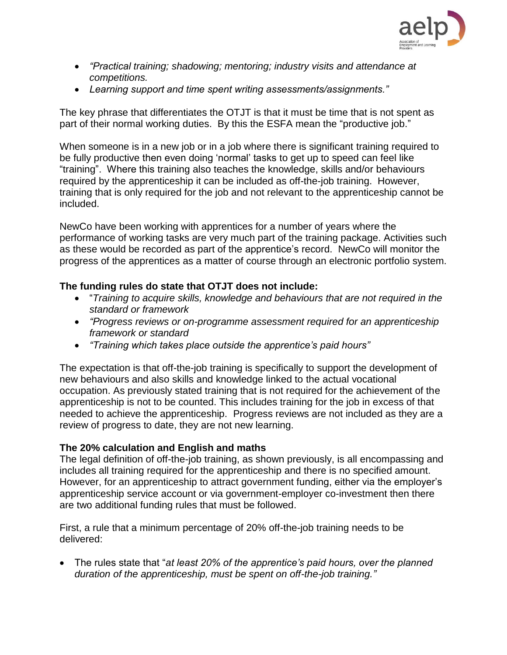

- *"Practical training; shadowing; mentoring; industry visits and attendance at competitions.*
- *Learning support and time spent writing assessments/assignments."*

The key phrase that differentiates the OTJT is that it must be time that is not spent as part of their normal working duties. By this the ESFA mean the "productive job."

When someone is in a new job or in a job where there is significant training required to be fully productive then even doing 'normal' tasks to get up to speed can feel like "training". Where this training also teaches the knowledge, skills and/or behaviours required by the apprenticeship it can be included as off-the-job training. However, training that is only required for the job and not relevant to the apprenticeship cannot be included.

NewCo have been working with apprentices for a number of years where the performance of working tasks are very much part of the training package. Activities such as these would be recorded as part of the apprentice's record. NewCo will monitor the progress of the apprentices as a matter of course through an electronic portfolio system.

# **The funding rules do state that OTJT does not include:**

- "*Training to acquire skills, knowledge and behaviours that are not required in the standard or framework*
- *"Progress reviews or on-programme assessment required for an apprenticeship framework or standard*
- *"Training which takes place outside the apprentice's paid hours"*

The expectation is that off-the-job training is specifically to support the development of new behaviours and also skills and knowledge linked to the actual vocational occupation. As previously stated training that is not required for the achievement of the apprenticeship is not to be counted. This includes training for the job in excess of that needed to achieve the apprenticeship. Progress reviews are not included as they are a review of progress to date, they are not new learning.

#### **The 20% calculation and English and maths**

The legal definition of off-the-job training, as shown previously, is all encompassing and includes all training required for the apprenticeship and there is no specified amount. However, for an apprenticeship to attract government funding, either via the employer's apprenticeship service account or via government-employer co-investment then there are two additional funding rules that must be followed.

First, a rule that a minimum percentage of 20% off-the-job training needs to be delivered:

• The rules state that "*at least 20% of the apprentice's paid hours, over the planned duration of the apprenticeship, must be spent on off-the-job training."*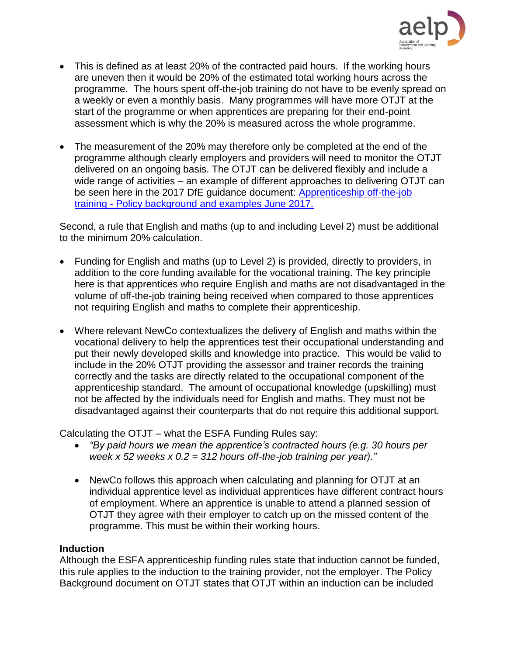

- This is defined as at least 20% of the contracted paid hours. If the working hours are uneven then it would be 20% of the estimated total working hours across the programme. The hours spent off-the-job training do not have to be evenly spread on a weekly or even a monthly basis. Many programmes will have more OTJT at the start of the programme or when apprentices are preparing for their end-point assessment which is why the 20% is measured across the whole programme.
- The measurement of the 20% may therefore only be completed at the end of the programme although clearly employers and providers will need to monitor the OTJT delivered on an ongoing basis. The OTJT can be delivered flexibly and include a wide range of activities – an example of different approaches to delivering OTJT can be seen here in the 2017 DfE guidance document: [Apprenticeship off-the-job](https://assets.publishing.service.gov.uk/government/uploads/system/uploads/attachment_data/file/621565/OTJ_training_guidance.pdf)  training - [Policy background and examples June 2017.](https://assets.publishing.service.gov.uk/government/uploads/system/uploads/attachment_data/file/621565/OTJ_training_guidance.pdf)

Second, a rule that English and maths (up to and including Level 2) must be additional to the minimum 20% calculation.

- Funding for English and maths (up to Level 2) is provided, directly to providers, in addition to the core funding available for the vocational training. The key principle here is that apprentices who require English and maths are not disadvantaged in the volume of off-the-job training being received when compared to those apprentices not requiring English and maths to complete their apprenticeship.
- Where relevant NewCo contextualizes the delivery of English and maths within the vocational delivery to help the apprentices test their occupational understanding and put their newly developed skills and knowledge into practice. This would be valid to include in the 20% OTJT providing the assessor and trainer records the training correctly and the tasks are directly related to the occupational component of the apprenticeship standard. The amount of occupational knowledge (upskilling) must not be affected by the individuals need for English and maths. They must not be disadvantaged against their counterparts that do not require this additional support.

Calculating the OTJT – what the ESFA Funding Rules say:

- *"By paid hours we mean the apprentice's contracted hours (e.g. 30 hours per week x 52 weeks x 0.2 = 312 hours off-the-job training per year)."*
- NewCo follows this approach when calculating and planning for OTJT at an individual apprentice level as individual apprentices have different contract hours of employment. Where an apprentice is unable to attend a planned session of OTJT they agree with their employer to catch up on the missed content of the programme. This must be within their working hours.

# **Induction**

Although the ESFA apprenticeship funding rules state that induction cannot be funded, this rule applies to the induction to the training provider, not the employer. The Policy Background document on OTJT states that OTJT within an induction can be included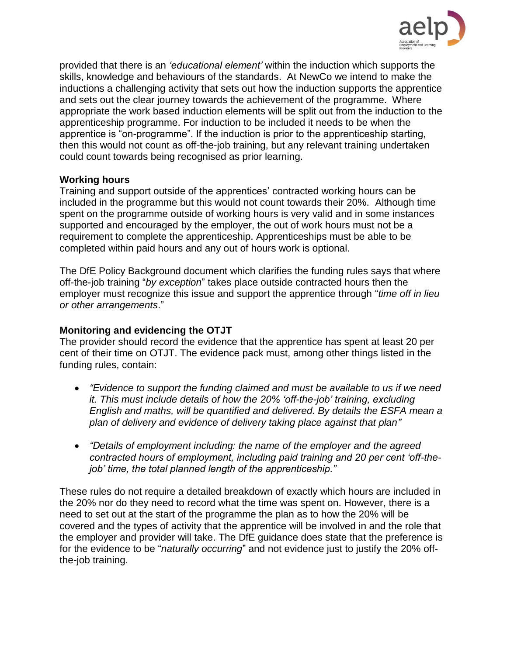

provided that there is an *'educational element'* within the induction which supports the skills, knowledge and behaviours of the standards. At NewCo we intend to make the inductions a challenging activity that sets out how the induction supports the apprentice and sets out the clear journey towards the achievement of the programme. Where appropriate the work based induction elements will be split out from the induction to the apprenticeship programme. For induction to be included it needs to be when the apprentice is "on-programme". If the induction is prior to the apprenticeship starting, then this would not count as off-the-job training, but any relevant training undertaken could count towards being recognised as prior learning.

#### **Working hours**

Training and support outside of the apprentices' contracted working hours can be included in the programme but this would not count towards their 20%. Although time spent on the programme outside of working hours is very valid and in some instances supported and encouraged by the employer, the out of work hours must not be a requirement to complete the apprenticeship. Apprenticeships must be able to be completed within paid hours and any out of hours work is optional.

The DfE Policy Background document which clarifies the funding rules says that where off-the-job training "*by exception*" takes place outside contracted hours then the employer must recognize this issue and support the apprentice through "*time off in lieu or other arrangements*."

# **Monitoring and evidencing the OTJT**

The provider should record the evidence that the apprentice has spent at least 20 per cent of their time on OTJT. The evidence pack must, among other things listed in the funding rules, contain:

- *"Evidence to support the funding claimed and must be available to us if we need it. This must include details of how the 20% 'off-the-job' training, excluding English and maths, will be quantified and delivered. By details the ESFA mean a plan of delivery and evidence of delivery taking place against that plan"*
- *"Details of employment including: the name of the employer and the agreed contracted hours of employment, including paid training and 20 per cent 'off-thejob' time, the total planned length of the apprenticeship."*

These rules do not require a detailed breakdown of exactly which hours are included in the 20% nor do they need to record what the time was spent on. However, there is a need to set out at the start of the programme the plan as to how the 20% will be covered and the types of activity that the apprentice will be involved in and the role that the employer and provider will take. The DfE guidance does state that the preference is for the evidence to be "*naturally occurring*" and not evidence just to justify the 20% offthe-job training.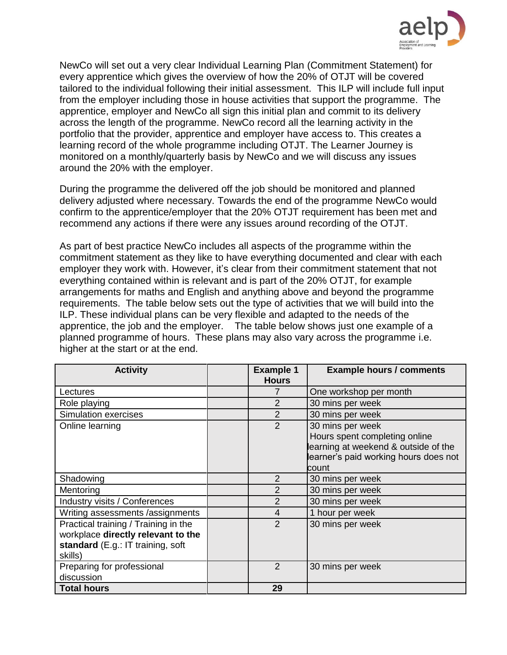

NewCo will set out a very clear Individual Learning Plan (Commitment Statement) for every apprentice which gives the overview of how the 20% of OTJT will be covered tailored to the individual following their initial assessment. This ILP will include full input from the employer including those in house activities that support the programme. The apprentice, employer and NewCo all sign this initial plan and commit to its delivery across the length of the programme. NewCo record all the learning activity in the portfolio that the provider, apprentice and employer have access to. This creates a learning record of the whole programme including OTJT. The Learner Journey is monitored on a monthly/quarterly basis by NewCo and we will discuss any issues around the 20% with the employer.

During the programme the delivered off the job should be monitored and planned delivery adjusted where necessary. Towards the end of the programme NewCo would confirm to the apprentice/employer that the 20% OTJT requirement has been met and recommend any actions if there were any issues around recording of the OTJT.

As part of best practice NewCo includes all aspects of the programme within the commitment statement as they like to have everything documented and clear with each employer they work with. However, it's clear from their commitment statement that not everything contained within is relevant and is part of the 20% OTJT, for example arrangements for maths and English and anything above and beyond the programme requirements. The table below sets out the type of activities that we will build into the ILP. These individual plans can be very flexible and adapted to the needs of the apprentice, the job and the employer. The table below shows just one example of a planned programme of hours. These plans may also vary across the programme i.e. higher at the start or at the end.

| <b>Activity</b>                      | <b>Example 1</b><br><b>Hours</b> | <b>Example hours / comments</b>       |
|--------------------------------------|----------------------------------|---------------------------------------|
| Lectures                             | 7                                | One workshop per month                |
| Role playing                         | 2                                | 30 mins per week                      |
| <b>Simulation exercises</b>          | $\overline{2}$                   | 30 mins per week                      |
| Online learning                      | $\overline{2}$                   | 30 mins per week                      |
|                                      |                                  | Hours spent completing online         |
|                                      |                                  | learning at weekend & outside of the  |
|                                      |                                  | learner's paid working hours does not |
|                                      |                                  | count                                 |
| Shadowing                            | $\overline{2}$                   | 30 mins per week                      |
| Mentoring                            | $\overline{2}$                   | 30 mins per week                      |
| Industry visits / Conferences        | $\overline{2}$                   | 30 mins per week                      |
| Writing assessments /assignments     | $\overline{4}$                   | 1 hour per week                       |
| Practical training / Training in the | $\overline{2}$                   | 30 mins per week                      |
| workplace directly relevant to the   |                                  |                                       |
| standard (E.g.: IT training, soft    |                                  |                                       |
| skills)                              |                                  |                                       |
| Preparing for professional           | $\overline{2}$                   | 30 mins per week                      |
| discussion                           |                                  |                                       |
| <b>Total hours</b>                   | 29                               |                                       |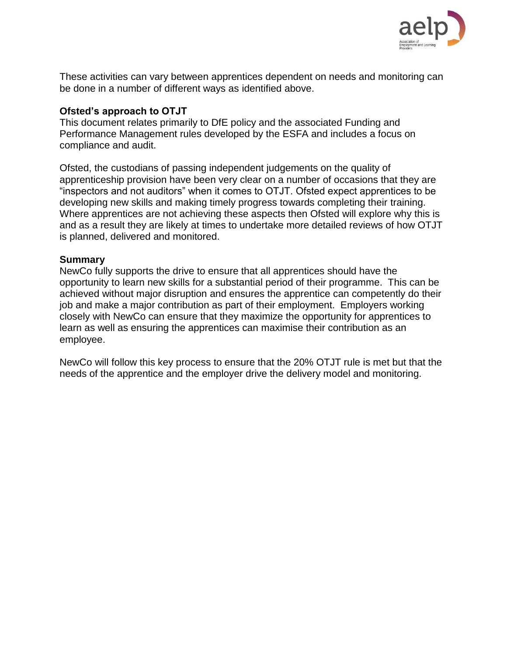

These activities can vary between apprentices dependent on needs and monitoring can be done in a number of different ways as identified above.

#### **Ofsted's approach to OTJT**

This document relates primarily to DfE policy and the associated Funding and Performance Management rules developed by the ESFA and includes a focus on compliance and audit.

Ofsted, the custodians of passing independent judgements on the quality of apprenticeship provision have been very clear on a number of occasions that they are "inspectors and not auditors" when it comes to OTJT. Ofsted expect apprentices to be developing new skills and making timely progress towards completing their training. Where apprentices are not achieving these aspects then Ofsted will explore why this is and as a result they are likely at times to undertake more detailed reviews of how OTJT is planned, delivered and monitored.

## **Summary**

NewCo fully supports the drive to ensure that all apprentices should have the opportunity to learn new skills for a substantial period of their programme. This can be achieved without major disruption and ensures the apprentice can competently do their job and make a major contribution as part of their employment. Employers working closely with NewCo can ensure that they maximize the opportunity for apprentices to learn as well as ensuring the apprentices can maximise their contribution as an employee.

NewCo will follow this key process to ensure that the 20% OTJT rule is met but that the needs of the apprentice and the employer drive the delivery model and monitoring.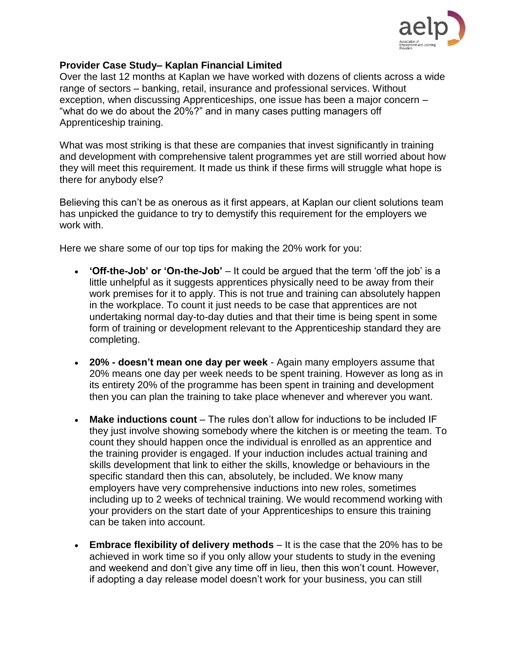

#### **Provider Case Study– Kaplan Financial Limited**

Over the last 12 months at Kaplan we have worked with dozens of clients across a wide range of sectors – banking, retail, insurance and professional services. Without exception, when discussing Apprenticeships, one issue has been a major concern – "what do we do about the 20%?" and in many cases putting managers off Apprenticeship training.

What was most striking is that these are companies that invest significantly in training and development with comprehensive talent programmes yet are still worried about how they will meet this requirement. It made us think if these firms will struggle what hope is there for anybody else?

Believing this can't be as onerous as it first appears, at Kaplan our client solutions team has unpicked the guidance to try to demystify this requirement for the employers we work with.

Here we share some of our top tips for making the 20% work for you:

- **'Off-the-Job' or 'On-the-Job'** It could be argued that the term 'off the job' is a little unhelpful as it suggests apprentices physically need to be away from their work premises for it to apply. This is not true and training can absolutely happen in the workplace. To count it just needs to be case that apprentices are not undertaking normal day-to-day duties and that their time is being spent in some form of training or development relevant to the Apprenticeship standard they are completing.
- **20% - doesn't mean one day per week** Again many employers assume that 20% means one day per week needs to be spent training. However as long as in its entirety 20% of the programme has been spent in training and development then you can plan the training to take place whenever and wherever you want.
- **Make inductions count** The rules don't allow for inductions to be included IF they just involve showing somebody where the kitchen is or meeting the team. To count they should happen once the individual is enrolled as an apprentice and the training provider is engaged. If your induction includes actual training and skills development that link to either the skills, knowledge or behaviours in the specific standard then this can, absolutely, be included. We know many employers have very comprehensive inductions into new roles, sometimes including up to 2 weeks of technical training. We would recommend working with your providers on the start date of your Apprenticeships to ensure this training can be taken into account.
- **Embrace flexibility of delivery methods** It is the case that the 20% has to be achieved in work time so if you only allow your students to study in the evening and weekend and don't give any time off in lieu, then this won't count. However, if adopting a day release model doesn't work for your business, you can still